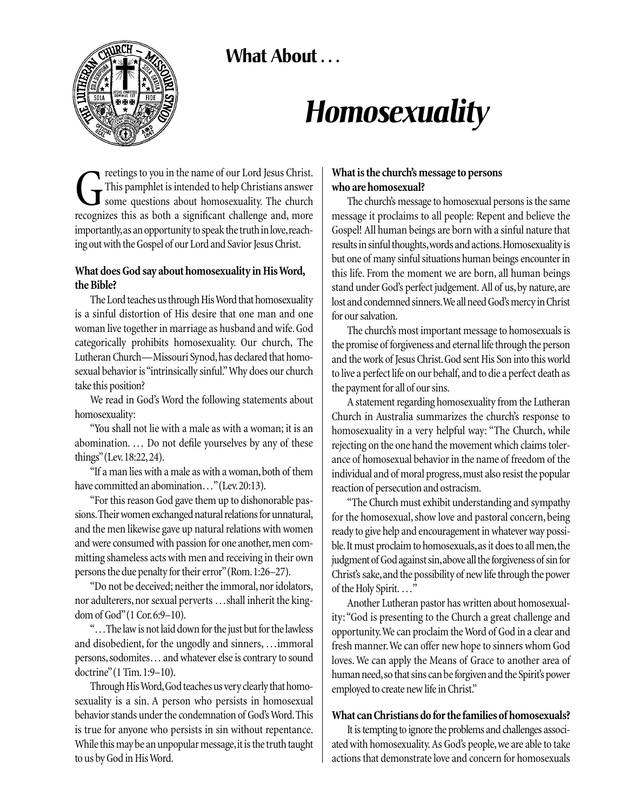**What About . . .** 



# *Homosexuality*

reetings to you in the name of our Lord Jesus Christ. This pamphlet is intended to help Christians answer some questions about homosexuality. The church recognizes this as both a significant challenge and, more importantly, as an opportunity to speak the truth in love, reaching out with the Gospel of our Lord and Savior Jesus Christ.

## **What does God say about homosexuality in His Word, the Bible?**

The Lord teaches us through His Word that homosexuality is a sinful distortion of His desire that one man and one woman live together in marriage as husband and wife. God categorically prohibits homosexuality. Our church, The Lutheran Church—Missouri Synod,has declared that homosexual behavior is "intrinsically sinful."Why does our church take this position?

We read in God's Word the following statements about homosexuality:

"You shall not lie with a male as with a woman; it is an abomination. … Do not defile yourselves by any of these things"(Lev.18:22,24).

"If a man lies with a male as with a woman, both of them have committed an abomination..." (Lev. 20:13).

"For this reason God gave them up to dishonorable passions.Their women exchanged natural relations for unnatural, and the men likewise gave up natural relations with women and were consumed with passion for one another, men committing shameless acts with men and receiving in their own persons the due penalty for their error"(Rom.1:26–27).

"Do not be deceived; neither the immoral, nor idolators, nor adulterers, nor sexual perverts …shall inherit the kingdom of God"(1 Cor.6:9–10).

"…The law is not laid down for the just but for the lawless and disobedient, for the ungodly and sinners, …immoral persons, sodomites... and whatever else is contrary to sound doctrine"(1 Tim.1:9–10).

Through His Word,God teaches us very clearly that homosexuality is a sin. A person who persists in homosexual behavior stands under the condemnation of God's Word.This is true for anyone who persists in sin without repentance. While this may be an unpopular message, it is the truth taught to us by God in His Word.

# **What is the church's message to persons who are homosexual?**

The church's message to homosexual persons is the same message it proclaims to all people: Repent and believe the Gospel! All human beings are born with a sinful nature that results in sinful thoughts,words and actions.Homosexuality is but one of many sinful situations human beings encounter in this life. From the moment we are born, all human beings stand under God's perfect judgement. All of us, by nature, are lost and condemned sinners.We all need God's mercy in Christ for our salvation.

The church's most important message to homosexuals is the promise of forgiveness and eternal life through the person and the work of Jesus Christ.God sent His Son into this world to live a perfect life on our behalf, and to die a perfect death as the payment for all of our sins.

A statement regarding homosexuality from the Lutheran Church in Australia summarizes the church's response to homosexuality in a very helpful way: "The Church, while rejecting on the one hand the movement which claims tolerance of homosexual behavior in the name of freedom of the individual and of moral progress, must also resist the popular reaction of persecution and ostracism.

"The Church must exhibit understanding and sympathy for the homosexual, show love and pastoral concern, being ready to give help and encouragement in whatever way possible. It must proclaim to homosexuals, as it does to all men, the judgment of God against sin,above all the forgiveness of sin for Christ's sake,and the possibility of new life through the power of the Holy Spirit. …"

Another Lutheran pastor has written about homosexuality: "God is presenting to the Church a great challenge and opportunity.We can proclaim the Word of God in a clear and fresh manner.We can offer new hope to sinners whom God loves. We can apply the Means of Grace to another area of human need, so that sins can be forgiven and the Spirit's power employed to create new life in Christ."

# **What can Christians do for the families of homosexuals?**

It is tempting to ignore the problems and challenges associated with homosexuality. As God's people, we are able to take actions that demonstrate love and concern for homosexuals